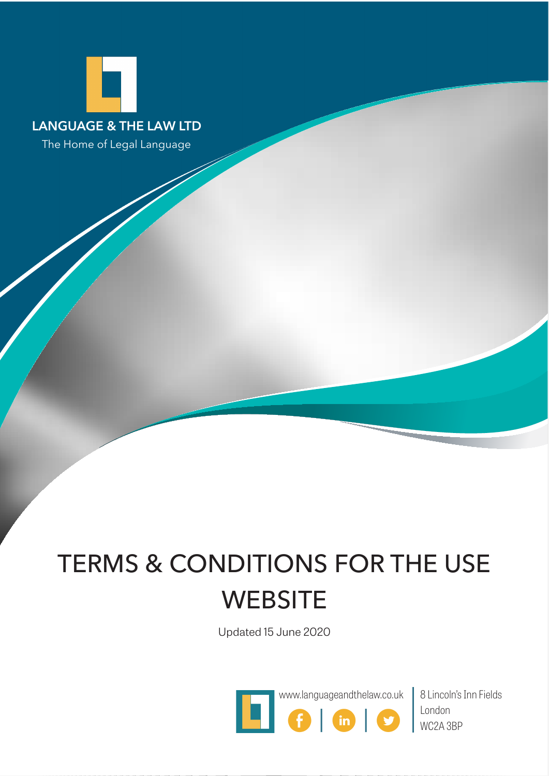

The Home of Legal Language

# TERMS & CONDITIONS FOR THE USE **WEBSITE**

Updated 15 June 2020



London WC2A 3BP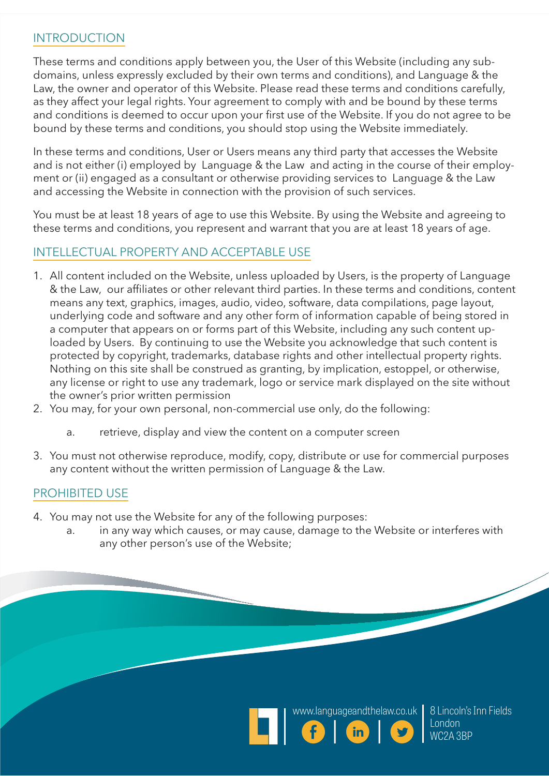#### **INTRODUCTION**

These terms and conditions apply between you, the User of this Website (including any subdomains, unless expressly excluded by their own terms and conditions), and Language & the Law, the owner and operator of this Website. Please read these terms and conditions carefully, as they affect your legal rights. Your agreement to comply with and be bound by these terms and conditions is deemed to occur upon your first use of the Website. If you do not agree to be bound by these terms and conditions, you should stop using the Website immediately.

In these terms and conditions, User or Users means any third party that accesses the Website and is not either (i) employed by Language & the Law and acting in the course of their employment or (ii) engaged as a consultant or otherwise providing services to Language & the Law and accessing the Website in connection with the provision of such services.

You must be at least 18 years of age to use this Website. By using the Website and agreeing to these terms and conditions, you represent and warrant that you are at least 18 years of age.

### INTELLECTUAL PROPERTY AND ACCEPTABLE USE

- 1. All content included on the Website, unless uploaded by Users, is the property of Language & the Law, our affiliates or other relevant third parties. In these terms and conditions, content means any text, graphics, images, audio, video, software, data compilations, page layout, underlying code and software and any other form of information capable of being stored in a computer that appears on or forms part of this Website, including any such content uploaded by Users. By continuing to use the Website you acknowledge that such content is protected by copyright, trademarks, database rights and other intellectual property rights. Nothing on this site shall be construed as granting, by implication, estoppel, or otherwise, any license or right to use any trademark, logo or service mark displayed on the site without the owner's prior written permission
- 2. You may, for your own personal, non-commercial use only, do the following:
	- a. retrieve, display and view the content on a computer screen
- 3. You must not otherwise reproduce, modify, copy, distribute or use for commercial purposes any content without the written permission of Language & the Law.

#### PROHIBITED USE

- 4. You may not use the Website for any of the following purposes:
	- a. in any way which causes, or may cause, damage to the Website or interferes with any other person's use of the Website;





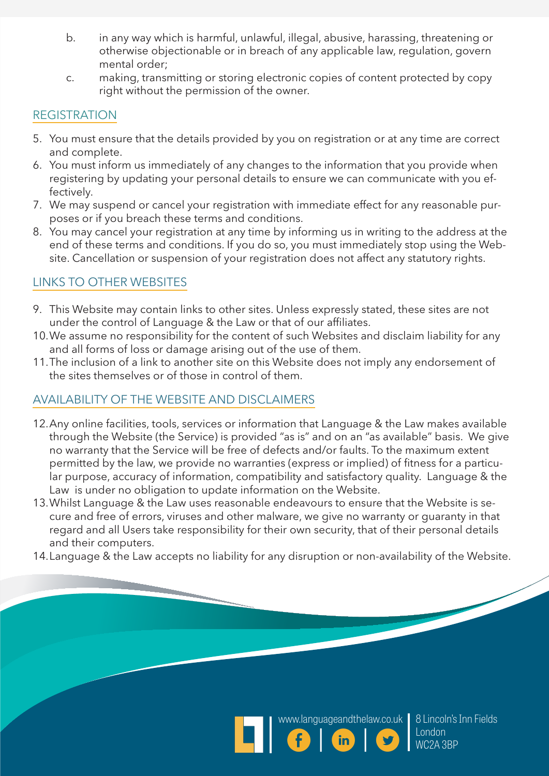- b. in any way which is harmful, unlawful, illegal, abusive, harassing, threatening or otherwise objectionable or in breach of any applicable law, regulation, govern mental order;
- c. making, transmitting or storing electronic copies of content protected by copy right without the permission of the owner.

# **REGISTRATION**

- 5. You must ensure that the details provided by you on registration or at any time are correct and complete.
- 6. You must inform us immediately of any changes to the information that you provide when registering by updating your personal details to ensure we can communicate with you effectively.
- 7. We may suspend or cancel your registration with immediate effect for any reasonable purposes or if you breach these terms and conditions.
- 8. You may cancel your registration at any time by informing us in writing to the address at the end of these terms and conditions. If you do so, you must immediately stop using the Website. Cancellation or suspension of your registration does not affect any statutory rights.

# LINKS TO OTHER WEBSITES

- 9. This Website may contain links to other sites. Unless expressly stated, these sites are not under the control of Language & the Law or that of our affiliates.
- 10.We assume no responsibility for the content of such Websites and disclaim liability for any and all forms of loss or damage arising out of the use of them.
- 11.The inclusion of a link to another site on this Website does not imply any endorsement of the sites themselves or of those in control of them.

# AVAILABILITY OF THE WEBSITE AND DISCLAIMERS

- 12.Any online facilities, tools, services or information that Language & the Law makes available through the Website (the Service) is provided "as is" and on an "as available" basis. We give no warranty that the Service will be free of defects and/or faults. To the maximum extent permitted by the law, we provide no warranties (express or implied) of fitness for a particular purpose, accuracy of information, compatibility and satisfactory quality. Language & the Law is under no obligation to update information on the Website.
- 13.Whilst Language & the Law uses reasonable endeavours to ensure that the Website is secure and free of errors, viruses and other malware, we give no warranty or guaranty in that regard and all Users take responsibility for their own security, that of their personal details and their computers.
- 14.Language & the Law accepts no liability for any disruption or non-availability of the Website.





8 Lincoln's Inn Fields London WC2A 3BP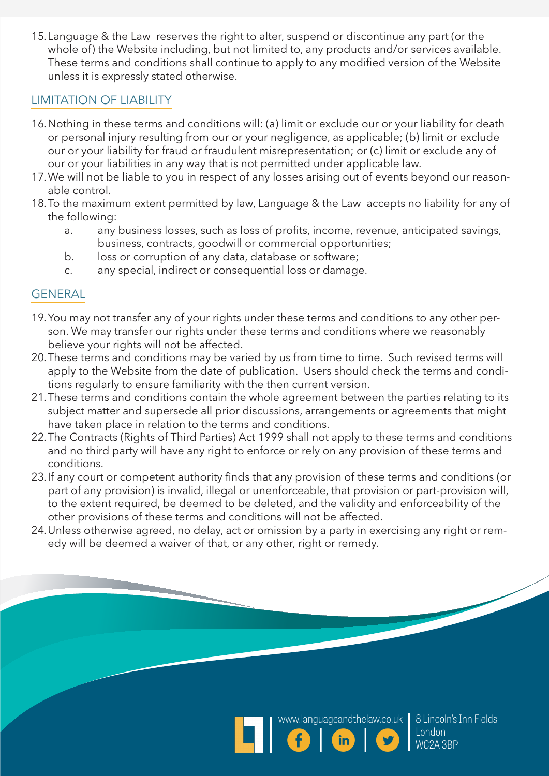15.Language & the Law reserves the right to alter, suspend or discontinue any part (or the whole of) the Website including, but not limited to, any products and/or services available. These terms and conditions shall continue to apply to any modified version of the Website unless it is expressly stated otherwise.

#### LIMITATION OF LIABILITY

- 16.Nothing in these terms and conditions will: (a) limit or exclude our or your liability for death or personal injury resulting from our or your negligence, as applicable; (b) limit or exclude our or your liability for fraud or fraudulent misrepresentation; or (c) limit or exclude any of our or your liabilities in any way that is not permitted under applicable law.
- 17.We will not be liable to you in respect of any losses arising out of events beyond our reasonable control.
- 18.To the maximum extent permitted by law, Language & the Law accepts no liability for any of the following:
	- a. any business losses, such as loss of profits, income, revenue, anticipated savings, business, contracts, goodwill or commercial opportunities;
	- b. loss or corruption of any data, database or software;
	- c. any special, indirect or consequential loss or damage.

## GENERAL

- 19.You may not transfer any of your rights under these terms and conditions to any other person. We may transfer our rights under these terms and conditions where we reasonably believe your rights will not be affected.
- 20.These terms and conditions may be varied by us from time to time. Such revised terms will apply to the Website from the date of publication. Users should check the terms and conditions regularly to ensure familiarity with the then current version.
- 21.These terms and conditions contain the whole agreement between the parties relating to its subject matter and supersede all prior discussions, arrangements or agreements that might have taken place in relation to the terms and conditions.
- 22.The Contracts (Rights of Third Parties) Act 1999 shall not apply to these terms and conditions and no third party will have any right to enforce or rely on any provision of these terms and conditions.
- 23.If any court or competent authority finds that any provision of these terms and conditions (or part of any provision) is invalid, illegal or unenforceable, that provision or part-provision will, to the extent required, be deemed to be deleted, and the validity and enforceability of the other provisions of these terms and conditions will not be affected.
- 24.Unless otherwise agreed, no delay, act or omission by a party in exercising any right or remedy will be deemed a waiver of that, or any other, right or remedy.





8 Lincoln's Inn Fields London WC2A 3BP